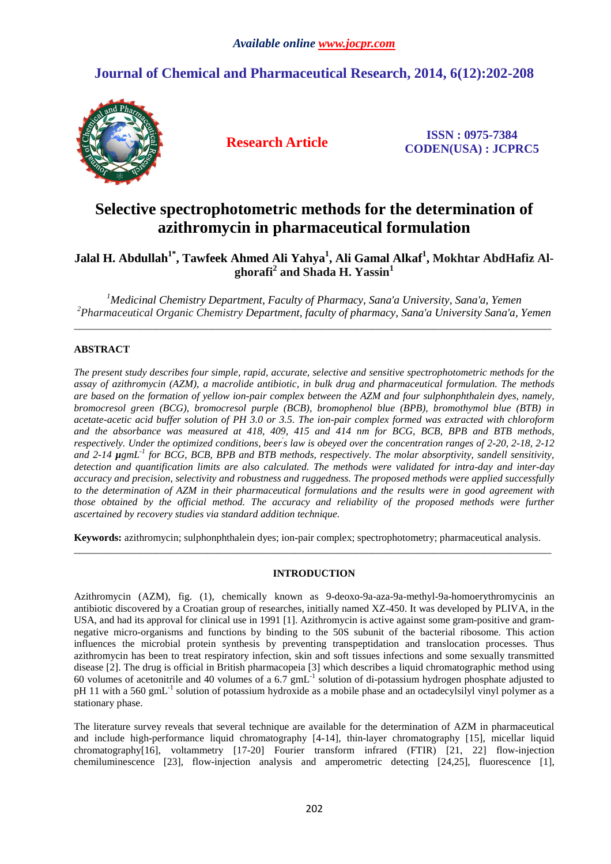## **Journal of Chemical and Pharmaceutical Research, 2014, 6(12):202-208**



**Research Article ISSN : 0975-7384 CODEN(USA) : JCPRC5**

# **Selective spectrophotometric methods for the determination of azithromycin in pharmaceutical formulation**

**Jalal H. Abdullah1\*, Tawfeek Ahmed Ali Yahya<sup>1</sup> , Ali Gamal Alkaf<sup>1</sup> , Mokhtar AbdHafiz Alghorafi<sup>2</sup> and Shada H. Yassin<sup>1</sup>**

*<sup>1</sup>Medicinal Chemistry Department, Faculty of Pharmacy, Sana'a University, Sana'a, Yemen <sup>2</sup>Pharmaceutical Organic Chemistry Department, faculty of pharmacy, Sana'a University Sana'a, Yemen* \_\_\_\_\_\_\_\_\_\_\_\_\_\_\_\_\_\_\_\_\_\_\_\_\_\_\_\_\_\_\_\_\_\_\_\_\_\_\_\_\_\_\_\_\_\_\_\_\_\_\_\_\_\_\_\_\_\_\_\_\_\_\_\_\_\_\_\_\_\_\_\_\_\_\_\_\_\_\_\_\_\_\_\_\_\_\_\_\_\_\_\_\_

## **ABSTRACT**

*The present study describes four simple, rapid, accurate, selective and sensitive spectrophotometric methods for the assay of azithromycin (AZM), a macrolide antibiotic, in bulk drug and pharmaceutical formulation. The methods are based on the formation of yellow ion-pair complex between the AZM and four sulphonphthalein dyes, namely, bromocresol green (BCG), bromocresol purple (BCB), bromophenol blue (BPB), bromothymol blue (BTB) in acetate-acetic acid buffer solution of PH 3.0 or 3.5. The ion-pair complex formed was extracted with chloroform and the absorbance was measured at 418, 409, 415 and 414 nm for BCG, BCB, BPB and BTB methods, respectively. Under the optimized conditions, beer' s law is obeyed over the concentration ranges of 2-20, 2-18, 2-12 and 2-14 µgmL-1 for BCG, BCB, BPB and BTB methods, respectively. The molar absorptivity, sandell sensitivity, detection and quantification limits are also calculated. The methods were validated for intra-day and inter-day accuracy and precision, selectivity and robustness and ruggedness. The proposed methods were applied successfully to the determination of AZM in their pharmaceutical formulations and the results were in good agreement with those obtained by the official method. The accuracy and reliability of the proposed methods were further ascertained by recovery studies via standard addition technique.* 

**Keywords:** azithromycin; sulphonphthalein dyes; ion-pair complex; spectrophotometry; pharmaceutical analysis. \_\_\_\_\_\_\_\_\_\_\_\_\_\_\_\_\_\_\_\_\_\_\_\_\_\_\_\_\_\_\_\_\_\_\_\_\_\_\_\_\_\_\_\_\_\_\_\_\_\_\_\_\_\_\_\_\_\_\_\_\_\_\_\_\_\_\_\_\_\_\_\_\_\_\_\_\_\_\_\_\_\_\_\_\_\_\_\_\_\_\_\_\_

## **INTRODUCTION**

Azithromycin (AZM), fig. (1), chemically known as 9-deoxo-9a-aza-9a-methyl-9a-homoerythromycinis an antibiotic discovered by a Croatian group of researches, initially named XZ-450. It was developed by PLIVA, in the USA, and had its approval for clinical use in 1991 [1]. Azithromycin is active against some gram-positive and gramnegative micro-organisms and functions by binding to the 50S subunit of the bacterial ribosome. This action influences the microbial protein synthesis by preventing transpeptidation and translocation processes. Thus azithromycin has been to treat respiratory infection, skin and soft tissues infections and some sexually transmitted disease [2]. The drug is official in British pharmacopeia [3] which describes a liquid chromatographic method using 60 volumes of acetonitrile and 40 volumes of a 6.7 gmL-1 solution of di-potassium hydrogen phosphate adjusted to pH 11 with a 560 gmL<sup>-1</sup> solution of potassium hydroxide as a mobile phase and an octadecylsilyl vinyl polymer as a stationary phase.

The literature survey reveals that several technique are available for the determination of AZM in pharmaceutical and include high-performance liquid chromatography [4-14], thin-layer chromatography [15], micellar liquid chromatography[16], voltammetry [17-20] Fourier transform infrared (FTIR) [21, 22] flow-injection chemiluminescence [23], flow-injection analysis and amperometric detecting [24,25], fluorescence [1],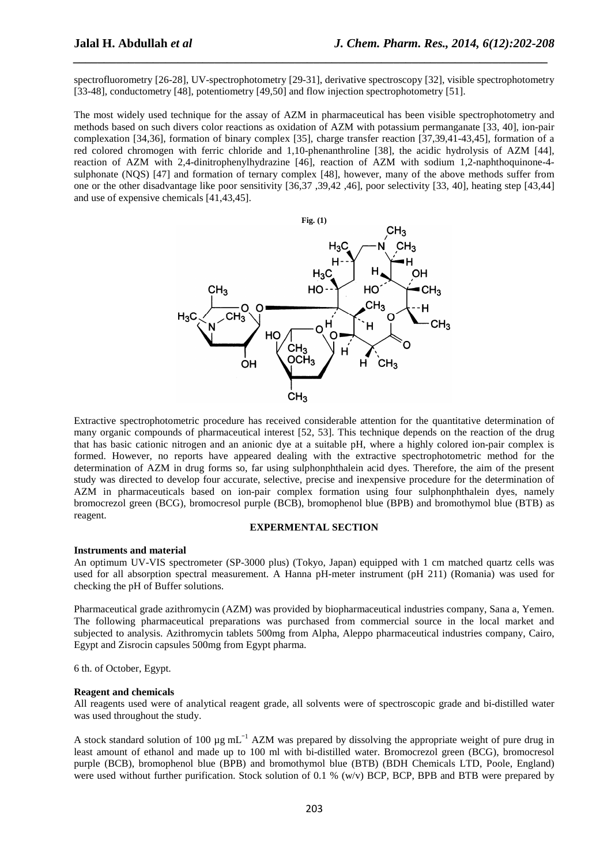spectrofluorometry [26-28], UV-spectrophotometry [29-31], derivative spectroscopy [32], visible spectrophotometry [33-48], conductometry [48], potentiometry [49,50] and flow injection spectrophotometry [51].

*\_\_\_\_\_\_\_\_\_\_\_\_\_\_\_\_\_\_\_\_\_\_\_\_\_\_\_\_\_\_\_\_\_\_\_\_\_\_\_\_\_\_\_\_\_\_\_\_\_\_\_\_\_\_\_\_\_\_\_\_\_\_\_\_\_\_\_\_\_\_\_\_\_\_\_\_\_*

The most widely used technique for the assay of AZM in pharmaceutical has been visible spectrophotometry and methods based on such divers color reactions as oxidation of AZM with potassium permanganate [33, 40], ion-pair complexation [34,36], formation of binary complex [35], charge transfer reaction [37,39,41-43,45], formation of a red colored chromogen with ferric chloride and 1,10-phenanthroline [38], the acidic hydrolysis of AZM [44], reaction of AZM with 2,4-dinitrophenylhydrazine [46], reaction of AZM with sodium 1,2-naphthoquinone-4 sulphonate (NQS) [47] and formation of ternary complex [48], however, many of the above methods suffer from one or the other disadvantage like poor sensitivity [36,37 ,39,42 ,46], poor selectivity [33, 40], heating step [43,44] and use of expensive chemicals [41,43,45].



Extractive spectrophotometric procedure has received considerable attention for the quantitative determination of many organic compounds of pharmaceutical interest [52, 53]. This technique depends on the reaction of the drug that has basic cationic nitrogen and an anionic dye at a suitable pH, where a highly colored ion-pair complex is formed. However, no reports have appeared dealing with the extractive spectrophotometric method for the determination of AZM in drug forms so, far using sulphonphthalein acid dyes. Therefore, the aim of the present study was directed to develop four accurate, selective, precise and inexpensive procedure for the determination of AZM in pharmaceuticals based on ion-pair complex formation using four sulphonphthalein dyes, namely bromocrezol green (BCG), bromocresol purple (BCB), bromophenol blue (BPB) and bromothymol blue (BTB) as reagent.

#### **EXPERMENTAL SECTION**

#### **Instruments and material**

An optimum UV-VIS spectrometer (SP-3000 plus) (Tokyo, Japan) equipped with 1 cm matched quartz cells was used for all absorption spectral measurement. A Hanna pH-meter instrument (pH 211) (Romania) was used for checking the pH of Buffer solutions.

Pharmaceutical grade azithromycin (AZM) was provided by biopharmaceutical industries company, Sana a, Yemen. The following pharmaceutical preparations was purchased from commercial source in the local market and subjected to analysis. Azithromycin tablets 500mg from Alpha, Aleppo pharmaceutical industries company, Cairo, Egypt and Zisrocin capsules 500mg from Egypt pharma.

6 th. of October, Egypt.

#### **Reagent and chemicals**

All reagents used were of analytical reagent grade, all solvents were of spectroscopic grade and bi-distilled water was used throughout the study.

A stock standard solution of 100  $\mu$ g mL<sup>-1</sup> AZM was prepared by dissolving the appropriate weight of pure drug in least amount of ethanol and made up to 100 ml with bi-distilled water. Bromocrezol green (BCG), bromocresol purple (BCB), bromophenol blue (BPB) and bromothymol blue (BTB) (BDH Chemicals LTD, Poole, England) were used without further purification. Stock solution of 0.1 % (w/v) BCP, BCP, BPB and BTB were prepared by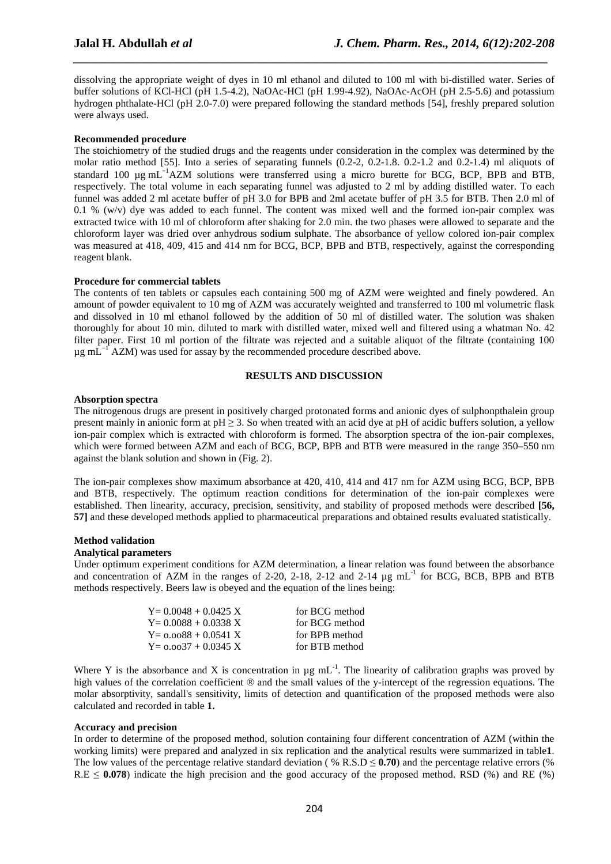dissolving the appropriate weight of dyes in 10 ml ethanol and diluted to 100 ml with bi-distilled water. Series of buffer solutions of KCl-HCl (pH 1.5-4.2), NaOAc-HCl (pH 1.99-4.92), NaOAc-AcOH (pH 2.5-5.6) and potassium hydrogen phthalate-HCl (pH 2.0-7.0) were prepared following the standard methods [54], freshly prepared solution were always used.

*\_\_\_\_\_\_\_\_\_\_\_\_\_\_\_\_\_\_\_\_\_\_\_\_\_\_\_\_\_\_\_\_\_\_\_\_\_\_\_\_\_\_\_\_\_\_\_\_\_\_\_\_\_\_\_\_\_\_\_\_\_\_\_\_\_\_\_\_\_\_\_\_\_\_\_\_\_*

#### **Recommended procedure**

The stoichiometry of the studied drugs and the reagents under consideration in the complex was determined by the molar ratio method [55]. Into a series of separating funnels (0.2-2, 0.2-1.8. 0.2-1.2 and 0.2-1.4) ml aliquots of standard 100 µg mL<sup>−</sup><sup>1</sup>AZM solutions were transferred using a micro burette for BCG, BCP, BPB and BTB, respectively. The total volume in each separating funnel was adjusted to 2 ml by adding distilled water. To each funnel was added 2 ml acetate buffer of pH 3.0 for BPB and 2ml acetate buffer of pH 3.5 for BTB. Then 2.0 ml of 0.1 % (w/v) dye was added to each funnel. The content was mixed well and the formed ion-pair complex was extracted twice with 10 ml of chloroform after shaking for 2.0 min. the two phases were allowed to separate and the chloroform layer was dried over anhydrous sodium sulphate. The absorbance of yellow colored ion-pair complex was measured at 418, 409, 415 and 414 nm for BCG, BCP, BPB and BTB, respectively, against the corresponding reagent blank.

#### **Procedure for commercial tablets**

The contents of ten tablets or capsules each containing 500 mg of AZM were weighted and finely powdered. An amount of powder equivalent to 10 mg of AZM was accurately weighted and transferred to 100 ml volumetric flask and dissolved in 10 ml ethanol followed by the addition of 50 ml of distilled water. The solution was shaken thoroughly for about 10 min. diluted to mark with distilled water, mixed well and filtered using a whatman No. 42 filter paper. First 10 ml portion of the filtrate was rejected and a suitable aliquot of the filtrate (containing 100  $\mu$ g mL<sup>-1</sup> AZM) was used for assay by the recommended procedure described above.

#### **RESULTS AND DISCUSSION**

### **Absorption spectra**

The nitrogenous drugs are present in positively charged protonated forms and anionic dyes of sulphonpthalein group present mainly in anionic form at  $pH \geq 3$ . So when treated with an acid dye at pH of acidic buffers solution, a yellow ion-pair complex which is extracted with chloroform is formed. The absorption spectra of the ion-pair complexes, which were formed between AZM and each of BCG, BCP, BPB and BTB were measured in the range 350–550 nm against the blank solution and shown in (Fig. 2).

The ion-pair complexes show maximum absorbance at 420, 410, 414 and 417 nm for AZM using BCG, BCP, BPB and BTB, respectively. The optimum reaction conditions for determination of the ion-pair complexes were established. Then linearity, accuracy, precision, sensitivity, and stability of proposed methods were described **[56, 57]** and these developed methods applied to pharmaceutical preparations and obtained results evaluated statistically.

#### **Method validation**

#### **Analytical parameters**

Under optimum experiment conditions for AZM determination, a linear relation was found between the absorbance and concentration of AZM in the ranges of 2-20, 2-18, 2-12 and 2-14  $\mu$ g mL<sup>-1</sup> for BCG, BCB, BPB and BTB methods respectively. Beers law is obeyed and the equation of the lines being:

| $Y = 0.0048 + 0.0425 X$ | for BCG method |
|-------------------------|----------------|
| $Y = 0.0088 + 0.0338 X$ | for BCG method |
| $Y = 0.0088 + 0.0541 X$ | for BPB method |
| $Y = 0.0037 + 0.0345 X$ | for BTB method |

Where Y is the absorbance and X is concentration in  $\mu$ g mL<sup>-1</sup>. The linearity of calibration graphs was proved by high values of the correlation coefficient  $\circledast$  and the small values of the y-intercept of the regression equations. The molar absorptivity, sandall's sensitivity, limits of detection and quantification of the proposed methods were also calculated and recorded in table **1.**

#### **Accuracy and precision**

In order to determine of the proposed method, solution containing four different concentration of AZM (within the working limits) were prepared and analyzed in six replication and the analytical results were summarized in table**1**. The low values of the percentage relative standard deviation ( $\%$  R.S.D  $\leq$  **0.70**) and the percentage relative errors (%)  $R.E \leq 0.078$ ) indicate the high precision and the good accuracy of the proposed method. RSD (%) and RE (%)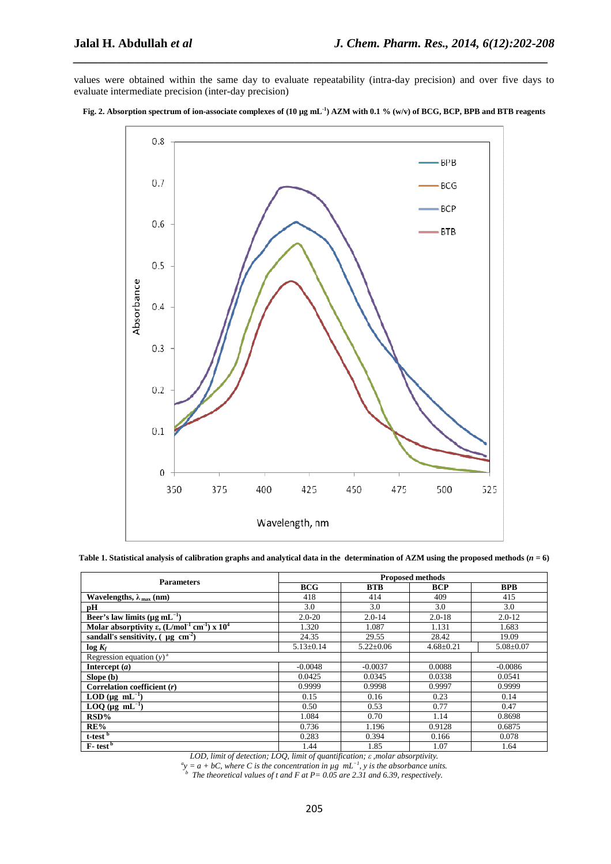values were obtained within the same day to evaluate repeatability (intra-day precision) and over five days to evaluate intermediate precision (inter-day precision)

*\_\_\_\_\_\_\_\_\_\_\_\_\_\_\_\_\_\_\_\_\_\_\_\_\_\_\_\_\_\_\_\_\_\_\_\_\_\_\_\_\_\_\_\_\_\_\_\_\_\_\_\_\_\_\_\_\_\_\_\_\_\_\_\_\_\_\_\_\_\_\_\_\_\_\_\_\_*





|  |  | Table 1. Statistical analysis of calibration graphs and analytical data in the determination of AZM using the proposed methods ( $n = 6$ ) |
|--|--|--------------------------------------------------------------------------------------------------------------------------------------------|

|                                                                                              | <b>Proposed methods</b> |                 |                 |                 |  |
|----------------------------------------------------------------------------------------------|-------------------------|-----------------|-----------------|-----------------|--|
| <b>Parameters</b>                                                                            | <b>BCG</b>              | <b>BTB</b>      | <b>BCP</b>      | <b>BPB</b>      |  |
| Wavelengths, $\lambda_{\text{max}}$ (nm)                                                     | 418                     | 414             | 409             | 415             |  |
| рH                                                                                           | 3.0                     | 3.0             | 3.0             | 3.0             |  |
| Beer's law limits ( $\mu$ g mL <sup>-1</sup> )                                               | $2.0 - 20$              | $2.0 - 14$      | $2.0 - 18$      | $2.0 - 12$      |  |
| Molar absorptivity $\varepsilon$ , (L/mol <sup>-1</sup> cm <sup>-1</sup> ) x 10 <sup>4</sup> | 1.320                   | 1.087           | 1.131           | 1.683           |  |
| sandall's sensitivity, $(\mu g \ cm^2)$                                                      | 24.35                   | 29.55           | 28.42           | 19.09           |  |
| $log K_f$                                                                                    | $5.13 \pm 0.14$         | $5.22 \pm 0.06$ | $4.68 \pm 0.21$ | $5.08 \pm 0.07$ |  |
| Regression equation $(y)^a$                                                                  |                         |                 |                 |                 |  |
| Intercept $(a)$                                                                              | $-0.0048$               | $-0.0037$       | 0.0088          | $-0.0086$       |  |
| Slope (b)                                                                                    | 0.0425                  | 0.0345          | 0.0338          | 0.0541          |  |
| Correlation coefficient $(r)$                                                                | 0.9999                  | 0.9998          | 0.9997          | 0.9999          |  |
| LOD ( $\mu$ g mL <sup>-1</sup> )                                                             | 0.15                    | 0.16            | 0.23            | 0.14            |  |
| $LOQ$ (µg mL <sup>-1</sup> )                                                                 | 0.50                    | 0.53            | 0.77            | 0.47            |  |
| $RSD\%$                                                                                      | 1.084                   | 0.70            | 1.14            | 0.8698          |  |
| RE%                                                                                          | 0.736                   | 1.196           | 0.9128          | 0.6875          |  |
| t-test <sup>b</sup>                                                                          | 0.283                   | 0.394           | 0.166           | 0.078           |  |
| $F - test^b$                                                                                 | 1.44                    | 1.85            | 1.07            | 1.64            |  |

LOD, limit of detection; LOQ, limit of quantification;  $\varepsilon$ , molar absorptivity.<br>
" $y = a + bC$ , where C is the concentration in  $\mu g$  mL<sup>-1</sup>, y is the absorbance units.<br>
"The theoretical values of t and F at P= 0.05 are 2.3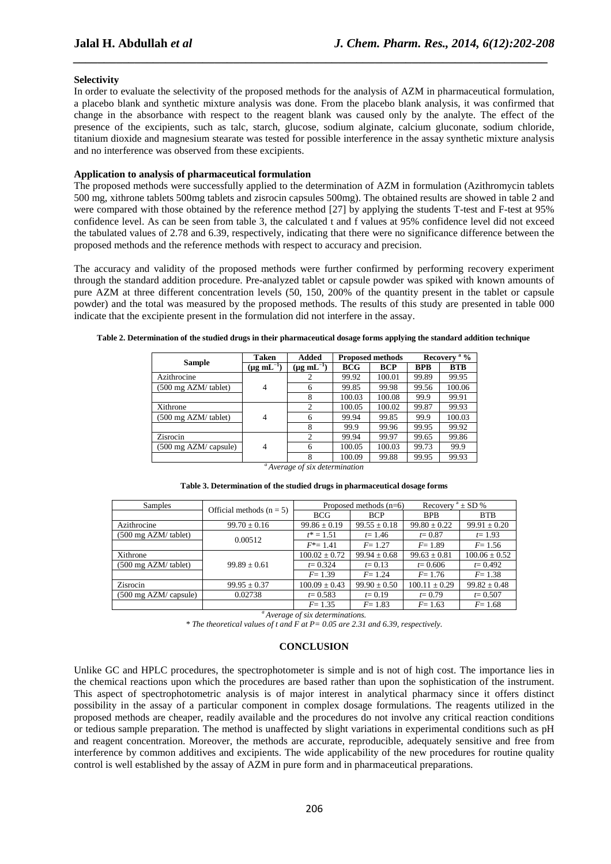#### **Selectivity**

In order to evaluate the selectivity of the proposed methods for the analysis of AZM in pharmaceutical formulation, a placebo blank and synthetic mixture analysis was done. From the placebo blank analysis, it was confirmed that change in the absorbance with respect to the reagent blank was caused only by the analyte. The effect of the presence of the excipients, such as talc, starch, glucose, sodium alginate, calcium gluconate, sodium chloride, titanium dioxide and magnesium stearate was tested for possible interference in the assay synthetic mixture analysis and no interference was observed from these excipients.

*\_\_\_\_\_\_\_\_\_\_\_\_\_\_\_\_\_\_\_\_\_\_\_\_\_\_\_\_\_\_\_\_\_\_\_\_\_\_\_\_\_\_\_\_\_\_\_\_\_\_\_\_\_\_\_\_\_\_\_\_\_\_\_\_\_\_\_\_\_\_\_\_\_\_\_\_\_*

#### **Application to analysis of pharmaceutical formulation**

The proposed methods were successfully applied to the determination of AZM in formulation (Azithromycin tablets 500 mg, xithrone tablets 500mg tablets and zisrocin capsules 500mg). The obtained results are showed in table 2 and were compared with those obtained by the reference method [27] by applying the students T-test and F-test at 95% confidence level. As can be seen from table 3, the calculated t and f values at 95% confidence level did not exceed the tabulated values of 2.78 and 6.39, respectively, indicating that there were no significance difference between the proposed methods and the reference methods with respect to accuracy and precision.

The accuracy and validity of the proposed methods were further confirmed by performing recovery experiment through the standard addition procedure. Pre-analyzed tablet or capsule powder was spiked with known amounts of pure AZM at three different concentration levels (50, 150, 200% of the quantity present in the tablet or capsule powder) and the total was measured by the proposed methods. The results of this study are presented in table 000 indicate that the excipiente present in the formulation did not interfere in the assay.

|                       | Taken                | Added                | <b>Proposed methods</b> |            |            | Recovery <sup>a</sup> % |  |
|-----------------------|----------------------|----------------------|-------------------------|------------|------------|-------------------------|--|
| <b>Sample</b>         | $(\mu g \, mL^{-1})$ | $(\mu g \, mL^{-1})$ | <b>BCG</b>              | <b>BCP</b> | <b>BPB</b> | <b>BTB</b>              |  |
| Azithrocine           |                      |                      | 99.92                   | 100.01     | 99.89      | 99.95                   |  |
| (500 mg AZM/ tablet)  | 4                    | 6                    | 99.85                   | 99.98      | 99.56      | 100.06                  |  |
|                       |                      | 8                    | 100.03                  | 100.08     | 99.9       | 99.91                   |  |
| Xithrone              |                      | $\overline{c}$       | 100.05                  | 100.02     | 99.87      | 99.93                   |  |
| (500 mg AZM/ tablet)  | $\overline{4}$       | 6                    | 99.94                   | 99.85      | 99.9       | 100.03                  |  |
|                       |                      | 8                    | 99.9                    | 99.96      | 99.95      | 99.92                   |  |
| Zisrocin              |                      | $\overline{c}$       | 99.94                   | 99.97      | 99.65      | 99.86                   |  |
| (500 mg AZM/ capsule) | 4                    | 6                    | 100.05                  | 100.03     | 99.73      | 99.9                    |  |
|                       |                      | 8                    | 100.09                  | 99.88      | 99.95      | 99.93                   |  |

*<sup>a</sup>Average of six determination*  **Table 3. Determination of the studied drugs in pharmaceutical dosage forms** 

| Samples | Official methods $(n = 5)$ |         | Proposed methods $(n=6)$ | <b>SD</b><br>Recovery |        |
|---------|----------------------------|---------|--------------------------|-----------------------|--------|
|         |                            | BCG     |                          | RPR                   |        |
|         | 00.70.01                   | 0002010 | $00.77 \times 10$        | 00000000              | $\sim$ |

| Samples                                   | Official methods $(n = 5)$ |                   | Proposed methods $(n=6)$ | Recovery $a \pm SD$ % |                   |
|-------------------------------------------|----------------------------|-------------------|--------------------------|-----------------------|-------------------|
|                                           |                            | <b>BCG</b>        | <b>BCP</b>               | <b>BPB</b>            | <b>BTB</b>        |
| Azithrocine                               | $99.70 \pm 0.16$           | $99.86 \pm 0.19$  | $99.55 \pm 0.18$         | $99.80 \pm 0.22$      | $99.91 \pm 0.20$  |
| $(500 \text{ mg }$ AZM/tablet)            | 0.00512                    | $t^* = 1.51$      | $t = 1.46$               | $t = 0.87$            | $t = 1.93$        |
|                                           |                            | $F^* = 1.41$      | $F = 1.27$               | $F = 1.89$            | $F = 1.56$        |
| Xithrone                                  |                            | $100.02 \pm 0.72$ | $99.94 \pm 0.68$         | $99.63 \pm 0.81$      | $100.06 \pm 0.52$ |
| $(500 \text{ mg }$ AZM/tablet)            | $99.89 \pm 0.61$           | $t = 0.324$       | $t = 0.13$               | $t = 0.606$           | $t = 0.492$       |
|                                           |                            | $F = 1.39$        | $F = 1.24$               | $F = 1.76$            | $F = 1.38$        |
| Zisrocin                                  | $99.95 \pm 0.37$           | $100.09 \pm 0.43$ | $99.90 \pm 0.50$         | $100.11 \pm 0.29$     | $99.82 \pm 0.48$  |
| $(500 \text{ mg } AZM / \text{ capsule})$ | 0.02738                    | $t = 0.583$       | $t = 0.19$               | $t = 0.79$            | $t = 0.507$       |
|                                           |                            | $F = 1.35$        | $F = 1.83$               | $F = 1.63$            | $F = 1.68$        |

*<sup>a</sup>Average of six determinations.* 

*\* The theoretical values of t and F at P= 0.05 are 2.31 and 6.39, respectively.* 

#### **CONCLUSION**

Unlike GC and HPLC procedures, the spectrophotometer is simple and is not of high cost. The importance lies in the chemical reactions upon which the procedures are based rather than upon the sophistication of the instrument. This aspect of spectrophotometric analysis is of major interest in analytical pharmacy since it offers distinct possibility in the assay of a particular component in complex dosage formulations. The reagents utilized in the proposed methods are cheaper, readily available and the procedures do not involve any critical reaction conditions or tedious sample preparation. The method is unaffected by slight variations in experimental conditions such as pH and reagent concentration. Moreover, the methods are accurate, reproducible, adequately sensitive and free from interference by common additives and excipients. The wide applicability of the new procedures for routine quality control is well established by the assay of AZM in pure form and in pharmaceutical preparations.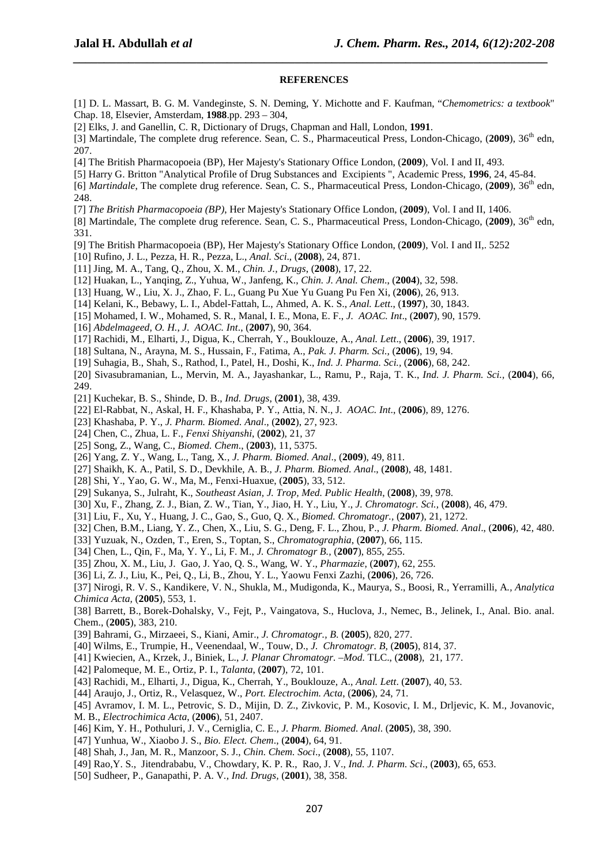#### **REFERENCES**

*\_\_\_\_\_\_\_\_\_\_\_\_\_\_\_\_\_\_\_\_\_\_\_\_\_\_\_\_\_\_\_\_\_\_\_\_\_\_\_\_\_\_\_\_\_\_\_\_\_\_\_\_\_\_\_\_\_\_\_\_\_\_\_\_\_\_\_\_\_\_\_\_\_\_\_\_\_*

- [1] D. L. Massart, B. G. M. Vandeginste, S. N. Deming, Y. Michotte and F. Kaufman, "*Chemometrics: a textbook*" Chap. 18, Elsevier, Amsterdam, **1988**.pp. 293 – 304,
- [2] Elks, J. and Ganellin, C. R, Dictionary of Drugs, Chapman and Hall, London, **1991**.

[3] Martindale, The complete drug reference. Sean, C. S., Pharmaceutical Press, London-Chicago, (2009), 36<sup>th</sup> edn, 207.

- [4] The British Pharmacopoeia (BP), Her Majesty's Stationary Office London, (**2009**), Vol. I and II, 493.
- [5] Harry G. Britton "Analytical Profile of Drug Substances and Excipients ", Academic Press, **1996**, 24, 45-84.
- [6] *Martindale*, The complete drug reference. Sean, C. S., Pharmaceutical Press, London-Chicago, (**2009**), 36th edn, 248.
- [7] *The British Pharmacopoeia (BP)*, Her Majesty's Stationary Office London, (**2009**), Vol. I and II, 1406.
- [8] Martindale, The complete drug reference. Sean, C. S., Pharmaceutical Press, London-Chicago, (2009), 36<sup>th</sup> edn, 331.
- [9] The British Pharmacopoeia (BP), Her Majesty's Stationary Office London, (**2009**), Vol. I and II,. 5252
- [10] Rufino, J. L., Pezza, H. R., Pezza, L., *Anal. Sci*., (**2008**), 24, 871.
- [11] Jing, M. A., Tang, Q., Zhou, X. M., *Chin. J., Drugs*, (**2008**), 17, 22.
- [12] Huakan, L., Yanqing, Z., Yuhua, W., Janfeng, K., *Chin. J. Anal. Chem*., (**2004**), 32, 598.
- [13] Huang, W., Liu, X. J., Zhao, F. L., Guang Pu Xue Yu Guang Pu Fen Xi, (**2006**), 26, 913.
- [14] Kelani, K., Bebawy, L. I., Abdel-Fattah, L., Ahmed, A. K. S., *Anal. Lett*., (**1997**), 30, 1843.
- [15] Mohamed, I. W., Mohamed, S. R., Manal, I. E., Mona, E. F., *J. AOAC. Int*., (**2007**), 90, 1579.
- [16] *Abdelmageed, O. H.*, *J. AOAC. Int*., (**2007**), 90, 364.
- [17] Rachidi, M., Elharti, J., Digua, K., Cherrah, Y., Bouklouze, A., *Anal. Lett*., (**2006**), 39, 1917.
- [18] Sultana, N., Arayna, M. S., Hussain, F., Fatima, A., *Pak. J. Pharm. Sci.,* (**2006**), 19, 94.
- [19] Suhagia, B., Shah, S., Rathod, I., Patel, H., Doshi, K., *Ind. J. Pharma. Sci.,* (**2006**)*,* 68, 242.
- [20] Sivasubramanian, L., Mervin, M. A., Jayashankar, L., Ramu, P., Raja, T. K., *Ind. J. Pharm. Sci.,* (**2004**), 66, 249.
- [21] Kuchekar, B. S., Shinde, D. B., *Ind. Drugs*, (**2001**), 38, 439.
- [22] El-Rabbat, N., Askal, H. F., Khashaba, P. Y., Attia, N. N., J. *AOAC. Int*., (**2006**), 89, 1276.
- [23] Khashaba, P. Y., *J. Pharm. Biomed. Anal*., (**2002**), 27, 923.
- [24] Chen, C., Zhua, L. F., *Fenxi Shiyanshi*, (**2002**), 21, 37
- [25] Song, Z., Wang, C., *Biomed. Chem*., (**2003**), 11, 5375.
- [26] Yang, Z. Y., Wang, L., Tang, X*., J. Pharm. Biomed. Anal*., (**2009**), 49, 811.
- [27] Shaikh, K. A., Patil, S. D., Devkhile, A. B*., J. Pharm. Biomed. Anal*., (**2008**), 48, 1481.
- [28] Shi, Y., Yao, G. W., Ma, M., Fenxi-Huaxue, (**2005**), 33, 512.
- [29] Sukanya, S., Julraht, K., *Southeast Asian, J. Trop, Med. Public Health*, (**2008**), 39, 978.
- [30] Xu, F., Zhang, Z. J., Bian, Z. W., Tian, Y., Jiao, H. Y., Liu, Y., *J. Chromatogr. Sci.,* (**2008**), 46, 479.
- [31] Liu, F., Xu, Y., Huang, J. C., Gao, S., Guo, Q. X*., Biomed. Chromatogr.,* (**2007**), 21, 1272.
- [32] Chen, B.M., Liang, Y. Z., Chen, X., Liu, S. G., Deng, F. L., Zhou, P., *J. Pharm. Biomed. Anal*., (**2006**), 42, 480.
- [33] Yuzuak, N., Ozden, T., Eren, S., Toptan, S., *Chromatographia*, (**2007**), 66, 115.
- [34] Chen, L., Qin, F., Ma, Y. Y., Li, F. M., *J. Chromatogr B.,* (**2007**), 855, 255.
- [35] Zhou, X. M., Liu, J. Gao, J. Yao, Q. S., Wang, W. Y., *Pharmazie*, (**2007**), 62, 255.
- [36] Li, Z. J., Liu, K., Pei, Q., Li, B., Zhou, Y. L., Yaowu Fenxi Zazhi, (**2006**), 26, 726.
- [37] Nirogi, R. V. S., Kandikere, V. N., Shukla, M., Mudigonda, K., Maurya, S., Boosi, R., Yerramilli, A*., Analytica Chimica Acta,* (**2005**), 553, 1.
- [38] Barrett, B., Borek-Dohalsky, V., Fejt, P., Vaingatova, S., Huclova, J., Nemec, B., Jelinek, I., Anal. Bio. anal. Chem., (**2005**), 383, 210.
- [39] Bahrami, G., Mirzaeei, S., Kiani, Amir., *J. Chromatogr., B*. (**2005**), 820, 277.
- [40] Wilms, E., Trumpie, H., Veenendaal, W., Touw, D., *J. Chromatogr. B,* (**2005**), 814, 37.
- [41] Kwiecien, A., Krzek, J., Biniek, L., *J. Planar Chromatogr. –Mod.* TLC., (**2008**), 21, 177.
- [42] Palomeque, M. E., Ortiz, P. I., *Talanta*, (**2007**), 72, 101.
- [43] Rachidi, M., Elharti, J., Digua, K., Cherrah, Y., Bouklouze, A., *Anal. Lett*. (**2007**), 40, 53.
- [44] Araujo, J., Ortiz, R., Velasquez, W., *Port. Electrochim. Acta*, (**2006**), 24, 71.
- [45] Avramov, I. M. L., Petrovic, S. D., Mijin, D. Z., Zivkovic, P. M., Kosovic, I. M., Drljevic, K. M., Jovanovic,
- M. B., *Electrochimica Acta*, (**2006**), 51, 2407.
- [46] Kim, Y. H., Pothuluri, J. V., Cerniglia, C. E., *J. Pharm. Biomed. Anal*. (**2005**), 38, 390.
- [47] Yunhua, W., Xiaobo J. S., *Bio. Elect. Chem*., (**2004**), 64, 91.
- [48] Shah, J., Jan, M. R., Manzoor, S. J., *Chin. Chem. Soci*., (**2008**), 55, 1107.
- [49] Rao,Y. S., Jitendrababu, V., Chowdary, K. P. R., Rao, J. V., *Ind. J. Pharm. Sci*., (**2003**), 65, 653.
- [50] Sudheer, P., Ganapathi, P. A. V*., Ind. Drugs,* (**2001**), 38, 358.